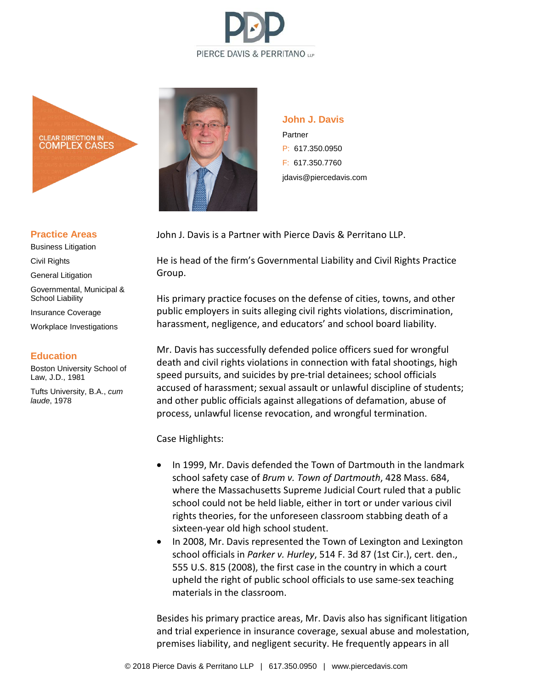



#### **Practice Areas**

Business Litigation Civil Rights General Litigation Governmental, Municipal & School Liability

Insurance Coverage

Workplace Investigations

#### **Education**

Boston University School of Law, J.D., 1981

Tufts University, B.A., *cum laude*, 1978



**John J. Davis** Partner P: 617.350.0950 F: 617.350.7760 jdavis@piercedavis.com

John J. Davis is a Partner with Pierce Davis & Perritano LLP.

He is head of the firm's Governmental Liability and Civil Rights Practice Group.

His primary practice focuses on the defense of cities, towns, and other public employers in suits alleging civil rights violations, discrimination, harassment, negligence, and educators' and school board liability.

Mr. Davis has successfully defended police officers sued for wrongful death and civil rights violations in connection with fatal shootings, high speed pursuits, and suicides by pre-trial detainees; school officials accused of harassment; sexual assault or unlawful discipline of students; and other public officials against allegations of defamation, abuse of process, unlawful license revocation, and wrongful termination.

Case Highlights:

- In 1999, Mr. Davis defended the Town of Dartmouth in the landmark school safety case of *Brum v. Town of Dartmouth*, 428 Mass. 684, where the Massachusetts Supreme Judicial Court ruled that a public school could not be held liable, either in tort or under various civil rights theories, for the unforeseen classroom stabbing death of a sixteen-year old high school student.
- In 2008, Mr. Davis represented the Town of Lexington and Lexington school officials in *Parker v. Hurley*, 514 F. 3d 87 (1st Cir.), cert. den., 555 U.S. 815 (2008), the first case in the country in which a court upheld the right of public school officials to use same-sex teaching materials in the classroom.

Besides his primary practice areas, Mr. Davis also has significant litigation and trial experience in insurance coverage, sexual abuse and molestation, premises liability, and negligent security. He frequently appears in all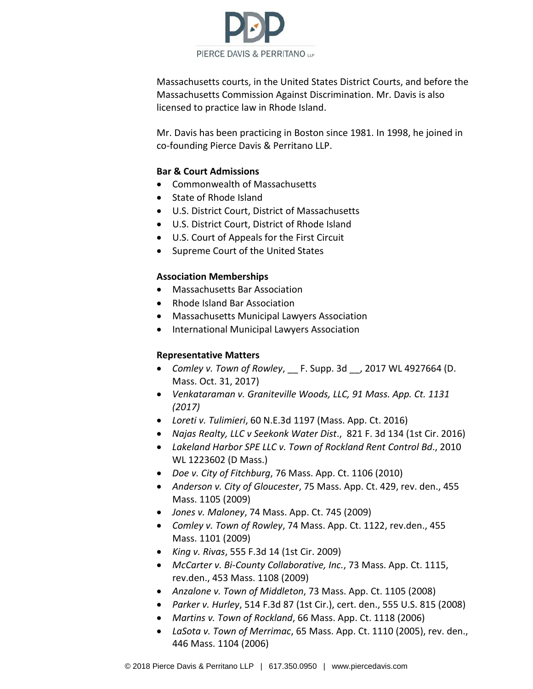

Massachusetts courts, in the United States District Courts, and before the Massachusetts Commission Against Discrimination. Mr. Davis is also licensed to practice law in Rhode Island.

Mr. Davis has been practicing in Boston since 1981. In 1998, he joined in co-founding Pierce Davis & Perritano LLP.

#### **Bar & Court Admissions**

- Commonwealth of Massachusetts
- State of Rhode Island
- U.S. District Court, District of Massachusetts
- U.S. District Court, District of Rhode Island
- U.S. Court of Appeals for the First Circuit
- Supreme Court of the United States

#### **Association Memberships**

- Massachusetts Bar Association
- Rhode Island Bar Association
- Massachusetts Municipal Lawyers Association
- International Municipal Lawyers Association

## **Representative Matters**

- *Comley v. Town of Rowley*, \_\_ F. Supp. 3d \_\_, 2017 WL 4927664 (D. Mass. Oct. 31, 2017)
- *Venkataraman v. Graniteville Woods, LLC, 91 Mass. App. Ct. 1131 (2017)*
- *Loreti v. Tulimieri*, 60 N.E.3d 1197 (Mass. App. Ct. 2016)
- *Najas Realty, LLC v Seekonk Water Dist*., 821 F. 3d 134 (1st Cir. 2016)
- *Lakeland Harbor SPE LLC v. Town of Rockland Rent Control Bd*., 2010 WL 1223602 (D Mass.)
- *Doe v. City of Fitchburg*, 76 Mass. App. Ct. 1106 (2010)
- *Anderson v. City of Gloucester*, 75 Mass. App. Ct. 429, rev. den., 455 Mass. 1105 (2009)
- *Jones v. Maloney*, 74 Mass. App. Ct. 745 (2009)
- *Comley v. Town of Rowley*, 74 Mass. App. Ct. 1122, rev.den., 455 Mass. 1101 (2009)
- *King v. Rivas*, 555 F.3d 14 (1st Cir. 2009)
- *McCarter v. Bi-County Collaborative, Inc.*, 73 Mass. App. Ct. 1115, rev.den., 453 Mass. 1108 (2009)
- *Anzalone v. Town of Middleton*, 73 Mass. App. Ct. 1105 (2008)
- *Parker v. Hurley*, 514 F.3d 87 (1st Cir.), cert. den., 555 U.S. 815 (2008)
- *Martins v. Town of Rockland*, 66 Mass. App. Ct. 1118 (2006)
- *LaSota v. Town of Merrimac*, 65 Mass. App. Ct. 1110 (2005), rev. den., 446 Mass. 1104 (2006)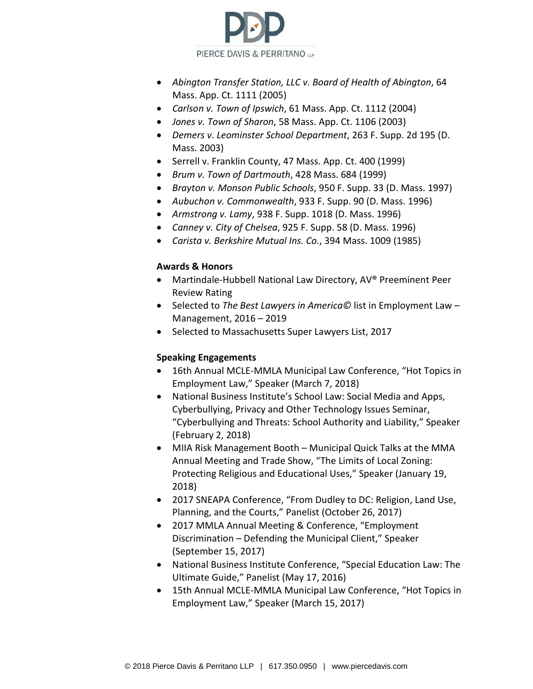

- *Abington Transfer Station, LLC v. Board of Health of Abington*, 64 Mass. App. Ct. 1111 (2005)
- *Carlson v. Town of Ipswich*, 61 Mass. App. Ct. 1112 (2004)
- *Jones v. Town of Sharon*, 58 Mass. App. Ct. 1106 (2003)
- *Demers v. Leominster School Department*, 263 F. Supp. 2d 195 (D. Mass. 2003)
- Serrell v. Franklin County, 47 Mass. App. Ct. 400 (1999)
- *Brum v. Town of Dartmouth*, 428 Mass. 684 (1999)
- *Brayton v. Monson Public Schools*, 950 F. Supp. 33 (D. Mass. 1997)
- *Aubuchon v. Commonwealth*, 933 F. Supp. 90 (D. Mass. 1996)
- *Armstrong v. Lamy*, 938 F. Supp. 1018 (D. Mass. 1996)
- *Canney v. City of Chelsea*, 925 F. Supp. 58 (D. Mass. 1996)
- *Carista v. Berkshire Mutual Ins. Co.*, 394 Mass. 1009 (1985)

## **Awards & Honors**

- Martindale-Hubbell National Law Directory, AV® Preeminent Peer Review Rating
- Selected to *The Best Lawyers in America©* list in Employment Law Management, 2016 – 2019
- Selected to Massachusetts Super Lawyers List, 2017

## **Speaking Engagements**

- 16th Annual MCLE-MMLA Municipal Law Conference, "Hot Topics in Employment Law," Speaker (March 7, 2018)
- National Business Institute's School Law: Social Media and Apps, Cyberbullying, Privacy and Other Technology Issues Seminar, "Cyberbullying and Threats: School Authority and Liability," Speaker (February 2, 2018)
- MIIA Risk Management Booth Municipal Quick Talks at the MMA Annual Meeting and Trade Show, "The Limits of Local Zoning: Protecting Religious and Educational Uses," Speaker (January 19, 2018)
- 2017 SNEAPA Conference, "From Dudley to DC: Religion, Land Use, Planning, and the Courts," Panelist (October 26, 2017)
- 2017 MMLA Annual Meeting & Conference, "Employment Discrimination – Defending the Municipal Client," Speaker (September 15, 2017)
- National Business Institute Conference, "Special Education Law: The Ultimate Guide," Panelist (May 17, 2016)
- 15th Annual MCLE-MMLA Municipal Law Conference, "Hot Topics in Employment Law," Speaker (March 15, 2017)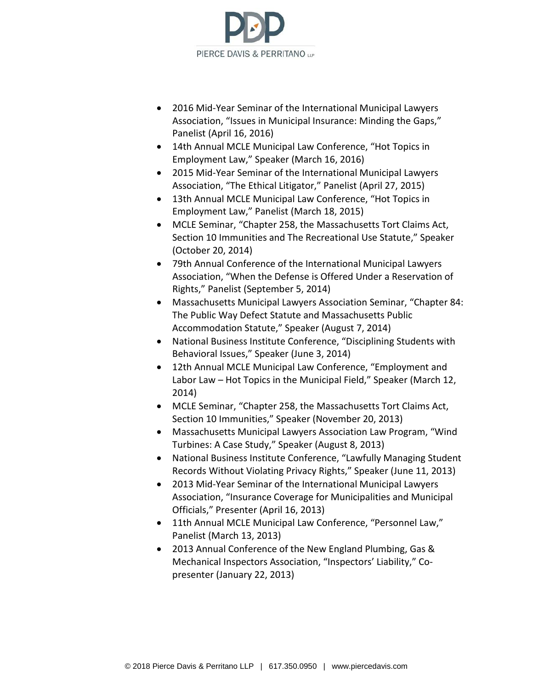

- 2016 Mid-Year Seminar of the International Municipal Lawyers Association, "Issues in Municipal Insurance: Minding the Gaps," Panelist (April 16, 2016)
- 14th Annual MCLE Municipal Law Conference, "Hot Topics in Employment Law," Speaker (March 16, 2016)
- 2015 Mid-Year Seminar of the International Municipal Lawyers Association, "The Ethical Litigator," Panelist (April 27, 2015)
- 13th Annual MCLE Municipal Law Conference, "Hot Topics in Employment Law," Panelist (March 18, 2015)
- MCLE Seminar, "Chapter 258, the Massachusetts Tort Claims Act, Section 10 Immunities and The Recreational Use Statute," Speaker (October 20, 2014)
- 79th Annual Conference of the International Municipal Lawyers Association, "When the Defense is Offered Under a Reservation of Rights," Panelist (September 5, 2014)
- Massachusetts Municipal Lawyers Association Seminar, "Chapter 84: The Public Way Defect Statute and Massachusetts Public Accommodation Statute," Speaker (August 7, 2014)
- National Business Institute Conference, "Disciplining Students with Behavioral Issues," Speaker (June 3, 2014)
- 12th Annual MCLE Municipal Law Conference, "Employment and Labor Law – Hot Topics in the Municipal Field," Speaker (March 12, 2014)
- MCLE Seminar, "Chapter 258, the Massachusetts Tort Claims Act, Section 10 Immunities," Speaker (November 20, 2013)
- Massachusetts Municipal Lawyers Association Law Program, "Wind Turbines: A Case Study," Speaker (August 8, 2013)
- National Business Institute Conference, "Lawfully Managing Student Records Without Violating Privacy Rights," Speaker (June 11, 2013)
- 2013 Mid-Year Seminar of the International Municipal Lawyers Association, "Insurance Coverage for Municipalities and Municipal Officials," Presenter (April 16, 2013)
- 11th Annual MCLE Municipal Law Conference, "Personnel Law," Panelist (March 13, 2013)
- 2013 Annual Conference of the New England Plumbing, Gas & Mechanical Inspectors Association, "Inspectors' Liability," Copresenter (January 22, 2013)